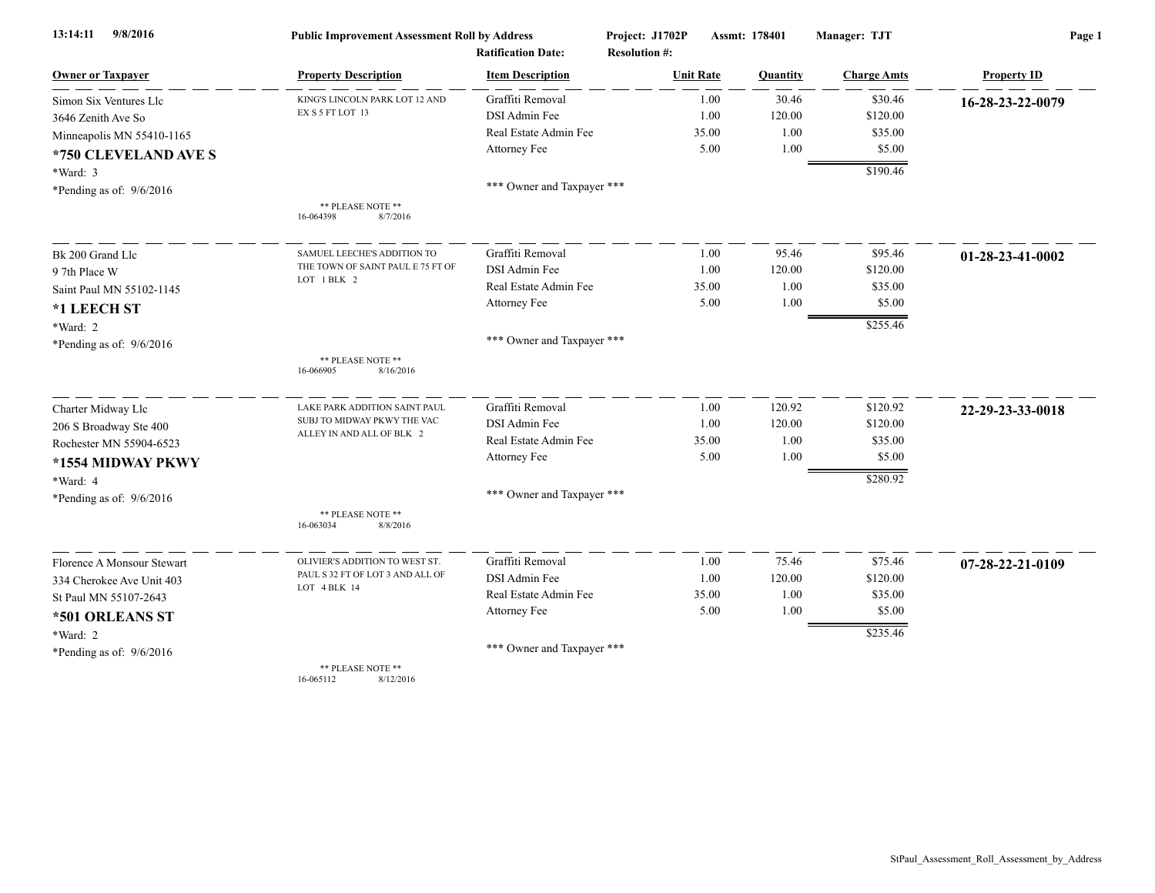| 9/8/2016<br>13:14:11       | <b>Public Improvement Assessment Roll by Address</b><br><b>Ratification Date:</b> |                            | Project: J1702P<br><b>Resolution #:</b> | Assmt: 178401 | Manager: TJT       | Page 1             |  |
|----------------------------|-----------------------------------------------------------------------------------|----------------------------|-----------------------------------------|---------------|--------------------|--------------------|--|
| <b>Owner or Taxpayer</b>   | <b>Property Description</b>                                                       | <b>Item Description</b>    | <b>Unit Rate</b>                        | Quantity      | <b>Charge Amts</b> | <b>Property ID</b> |  |
| Simon Six Ventures Llc     | KING'S LINCOLN PARK LOT 12 AND                                                    | Graffiti Removal           | 1.00                                    | 30.46         | \$30.46            | 16-28-23-22-0079   |  |
| 3646 Zenith Ave So         | EX S 5 FT LOT 13                                                                  | DSI Admin Fee              | 1.00                                    | 120.00        | \$120.00           |                    |  |
| Minneapolis MN 55410-1165  |                                                                                   | Real Estate Admin Fee      | 35.00                                   | 1.00          | \$35.00            |                    |  |
| *750 CLEVELAND AVE S       |                                                                                   | Attorney Fee               | 5.00                                    | 1.00          | \$5.00             |                    |  |
| $*Ward: 3$                 |                                                                                   |                            |                                         |               | \$190.46           |                    |  |
| *Pending as of: $9/6/2016$ |                                                                                   | *** Owner and Taxpayer *** |                                         |               |                    |                    |  |
|                            | ** PLEASE NOTE **<br>16-064398<br>8/7/2016                                        |                            |                                         |               |                    |                    |  |
| Bk 200 Grand Llc           | SAMUEL LEECHE'S ADDITION TO                                                       | Graffiti Removal           | 1.00                                    | 95.46         | \$95.46            | 01-28-23-41-0002   |  |
| 9 7th Place W              | THE TOWN OF SAINT PAUL E 75 FT OF                                                 | DSI Admin Fee              | 1.00                                    | 120.00        | \$120.00           |                    |  |
| Saint Paul MN 55102-1145   | LOT 1 BLK 2                                                                       | Real Estate Admin Fee      | 35.00                                   | 1.00          | \$35.00            |                    |  |
| *1 LEECH ST                |                                                                                   | Attorney Fee               | 5.00                                    | 1.00          | \$5.00             |                    |  |
| *Ward: 2                   |                                                                                   |                            |                                         |               | \$255.46           |                    |  |
| *Pending as of: 9/6/2016   |                                                                                   | *** Owner and Taxpayer *** |                                         |               |                    |                    |  |
|                            | ** PLEASE NOTE **<br>16-066905<br>8/16/2016                                       |                            |                                         |               |                    |                    |  |
| Charter Midway Llc         | LAKE PARK ADDITION SAINT PAUL                                                     | Graffiti Removal           | 1.00                                    | 120.92        | \$120.92           | 22-29-23-33-0018   |  |
| 206 S Broadway Ste 400     | SUBJ TO MIDWAY PKWY THE VAC<br>ALLEY IN AND ALL OF BLK 2                          | DSI Admin Fee              | 1.00                                    | 120.00        | \$120.00           |                    |  |
| Rochester MN 55904-6523    |                                                                                   | Real Estate Admin Fee      | 35.00                                   | 1.00          | \$35.00            |                    |  |
| *1554 MIDWAY PKWY          |                                                                                   | Attorney Fee               | 5.00                                    | 1.00          | \$5.00             |                    |  |
| *Ward: 4                   |                                                                                   |                            |                                         |               | \$280.92           |                    |  |
| *Pending as of: $9/6/2016$ |                                                                                   | *** Owner and Taxpayer *** |                                         |               |                    |                    |  |
|                            | ** PLEASE NOTE **<br>16-063034<br>8/8/2016                                        |                            |                                         |               |                    |                    |  |
| Florence A Monsour Stewart | OLIVIER'S ADDITION TO WEST ST.                                                    | Graffiti Removal           | 1.00                                    | 75.46         | \$75.46            | 07-28-22-21-0109   |  |
| 334 Cherokee Ave Unit 403  | PAUL S 32 FT OF LOT 3 AND ALL OF                                                  | DSI Admin Fee              | 1.00                                    | 120.00        | \$120.00           |                    |  |
| St Paul MN 55107-2643      | LOT 4 BLK 14                                                                      | Real Estate Admin Fee      | 35.00                                   | 1.00          | \$35.00            |                    |  |
| *501 ORLEANS ST            |                                                                                   | Attorney Fee               | 5.00                                    | 1.00          | \$5.00             |                    |  |
| *Ward: 2                   |                                                                                   |                            |                                         |               | \$235.46           |                    |  |
| *Pending as of: $9/6/2016$ | ** PLEASE NOTE **                                                                 | *** Owner and Taxpayer *** |                                         |               |                    |                    |  |

16-065112 8/12/2016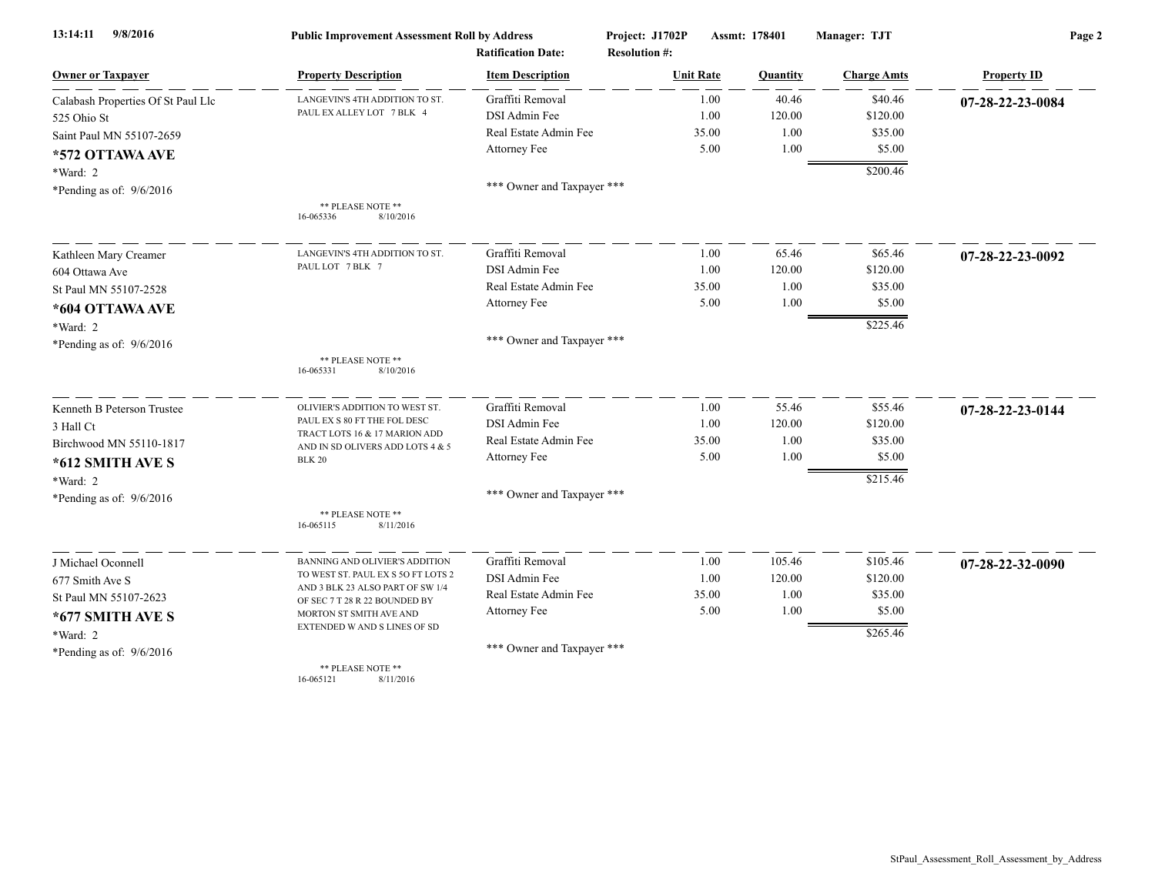| 9/8/2016<br>13:14:11               | <b>Public Improvement Assessment Roll by Address</b><br><b>Ratification Date:</b> |                            | Assmt: 178401<br>Project: J1702P<br><b>Resolution #:</b> |          | Manager: TJT       | Page 2             |  |
|------------------------------------|-----------------------------------------------------------------------------------|----------------------------|----------------------------------------------------------|----------|--------------------|--------------------|--|
| <b>Owner or Taxpayer</b>           | <b>Property Description</b>                                                       | <b>Item Description</b>    | <b>Unit Rate</b>                                         | Quantity | <b>Charge Amts</b> | <b>Property ID</b> |  |
| Calabash Properties Of St Paul Llc | LANGEVIN'S 4TH ADDITION TO ST.                                                    | Graffiti Removal           | 1.00                                                     | 40.46    | \$40.46            | 07-28-22-23-0084   |  |
| 525 Ohio St                        | PAUL EX ALLEY LOT 7 BLK 4                                                         | DSI Admin Fee              | 1.00                                                     | 120.00   | \$120.00           |                    |  |
| Saint Paul MN 55107-2659           |                                                                                   | Real Estate Admin Fee      | 35.00                                                    | 1.00     | \$35.00            |                    |  |
| *572 OTTAWA AVE                    |                                                                                   | Attorney Fee               | 5.00                                                     | 1.00     | \$5.00             |                    |  |
| *Ward: 2                           |                                                                                   |                            |                                                          |          | \$200.46           |                    |  |
| *Pending as of: $9/6/2016$         |                                                                                   | *** Owner and Taxpayer *** |                                                          |          |                    |                    |  |
|                                    | ** PLEASE NOTE **<br>16-065336<br>8/10/2016                                       |                            |                                                          |          |                    |                    |  |
| Kathleen Mary Creamer              | LANGEVIN'S 4TH ADDITION TO ST.                                                    | Graffiti Removal           | 1.00                                                     | 65.46    | \$65.46            | 07-28-22-23-0092   |  |
| 604 Ottawa Ave                     | PAUL LOT 7 BLK 7                                                                  | DSI Admin Fee              | 1.00                                                     | 120.00   | \$120.00           |                    |  |
| St Paul MN 55107-2528              |                                                                                   | Real Estate Admin Fee      | 35.00                                                    | 1.00     | \$35.00            |                    |  |
| *604 OTTAWA AVE                    |                                                                                   | Attorney Fee               | 5.00                                                     | 1.00     | \$5.00             |                    |  |
| *Ward: 2                           |                                                                                   |                            |                                                          |          | \$225.46           |                    |  |
| *Pending as of: $9/6/2016$         |                                                                                   | *** Owner and Taxpayer *** |                                                          |          |                    |                    |  |
|                                    | ** PLEASE NOTE **<br>16-065331<br>8/10/2016                                       |                            |                                                          |          |                    |                    |  |
| Kenneth B Peterson Trustee         | OLIVIER'S ADDITION TO WEST ST.                                                    | Graffiti Removal           | 1.00                                                     | 55.46    | \$55.46            | 07-28-22-23-0144   |  |
| 3 Hall Ct                          | PAUL EX S 80 FT THE FOL DESC                                                      | DSI Admin Fee              | 1.00                                                     | 120.00   | \$120.00           |                    |  |
| Birchwood MN 55110-1817            | TRACT LOTS 16 & 17 MARION ADD<br>AND IN SD OLIVERS ADD LOTS 4 & 5                 | Real Estate Admin Fee      | 35.00                                                    | 1.00     | \$35.00            |                    |  |
| *612 SMITH AVE S                   | <b>BLK 20</b>                                                                     | Attorney Fee               | 5.00                                                     | 1.00     | \$5.00             |                    |  |
| *Ward: 2                           |                                                                                   |                            |                                                          |          | \$215.46           |                    |  |
| *Pending as of: $9/6/2016$         |                                                                                   | *** Owner and Taxpayer *** |                                                          |          |                    |                    |  |
|                                    | ** PLEASE NOTE **<br>16-065115<br>8/11/2016                                       |                            |                                                          |          |                    |                    |  |
| J Michael Oconnell                 | BANNING AND OLIVIER'S ADDITION                                                    | Graffiti Removal           | 1.00                                                     | 105.46   | \$105.46           | 07-28-22-32-0090   |  |
| 677 Smith Ave S                    | TO WEST ST. PAUL EX S 50 FT LOTS 2                                                | DSI Admin Fee              | 1.00                                                     | 120.00   | \$120.00           |                    |  |
| St Paul MN 55107-2623              | AND 3 BLK 23 ALSO PART OF SW 1/4<br>OF SEC 7 T 28 R 22 BOUNDED BY                 | Real Estate Admin Fee      | 35.00                                                    | 1.00     | \$35.00            |                    |  |
| *677 SMITH AVE S                   | MORTON ST SMITH AVE AND                                                           | Attorney Fee               | 5.00                                                     | 1.00     | \$5.00             |                    |  |
| *Ward: 2                           | EXTENDED W AND S LINES OF SD                                                      |                            |                                                          |          | \$265.46           |                    |  |
| *Pending as of: $9/6/2016$         |                                                                                   | *** Owner and Taxpayer *** |                                                          |          |                    |                    |  |
|                                    | ** PLEASE NOTE **<br>16-065121<br>8/11/2016                                       |                            |                                                          |          |                    |                    |  |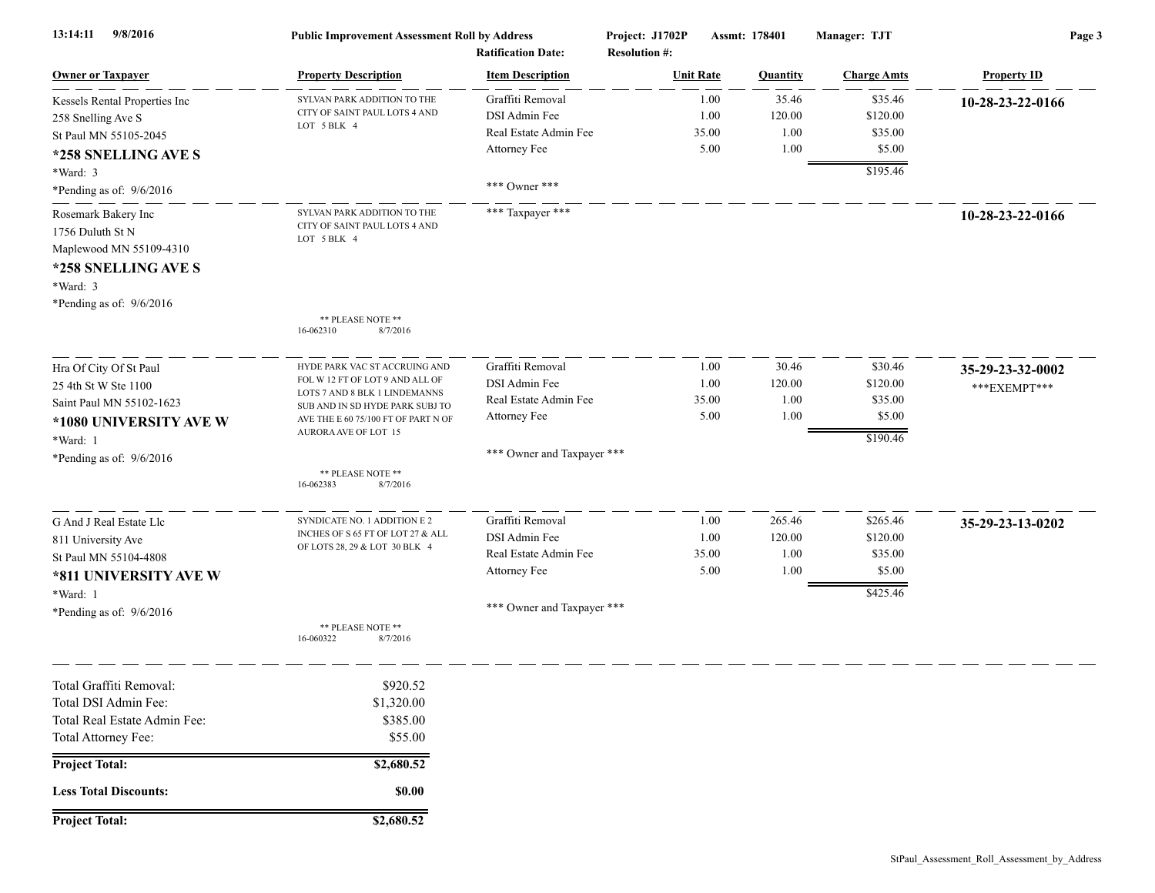| 13:14:11<br>9/8/2016          | <b>Public Improvement Assessment Roll by Address</b><br><b>Ratification Date:</b> |                            | Project: J1702P<br>Assmt: 178401<br><b>Resolution #:</b> |       |          | Manager: TJT       | Page 3             |  |
|-------------------------------|-----------------------------------------------------------------------------------|----------------------------|----------------------------------------------------------|-------|----------|--------------------|--------------------|--|
| <b>Owner or Taxpayer</b>      | <b>Property Description</b>                                                       | <b>Item Description</b>    | <b>Unit Rate</b>                                         |       | Quantity | <b>Charge Amts</b> | <b>Property ID</b> |  |
| Kessels Rental Properties Inc | SYLVAN PARK ADDITION TO THE                                                       | Graffiti Removal           |                                                          | 1.00  | 35.46    | \$35.46            | 10-28-23-22-0166   |  |
| 258 Snelling Ave S            | CITY OF SAINT PAUL LOTS 4 AND                                                     | DSI Admin Fee              |                                                          | 1.00  | 120.00   | \$120.00           |                    |  |
| St Paul MN 55105-2045         | LOT 5 BLK 4                                                                       | Real Estate Admin Fee      |                                                          | 35.00 | 1.00     | \$35.00            |                    |  |
| *258 SNELLING AVE S           |                                                                                   | Attorney Fee               |                                                          | 5.00  | 1.00     | \$5.00             |                    |  |
| *Ward: 3                      |                                                                                   |                            |                                                          |       |          | \$195.46           |                    |  |
| *Pending as of: $9/6/2016$    |                                                                                   | *** Owner ***              |                                                          |       |          |                    |                    |  |
| Rosemark Bakery Inc           | SYLVAN PARK ADDITION TO THE                                                       | *** Taxpayer ***           |                                                          |       |          |                    | 10-28-23-22-0166   |  |
| 1756 Duluth St N              | CITY OF SAINT PAUL LOTS 4 AND<br>LOT 5 BLK 4                                      |                            |                                                          |       |          |                    |                    |  |
| Maplewood MN 55109-4310       |                                                                                   |                            |                                                          |       |          |                    |                    |  |
| *258 SNELLING AVE S           |                                                                                   |                            |                                                          |       |          |                    |                    |  |
| *Ward: 3                      |                                                                                   |                            |                                                          |       |          |                    |                    |  |
| *Pending as of: 9/6/2016      |                                                                                   |                            |                                                          |       |          |                    |                    |  |
|                               | ** PLEASE NOTE **<br>8/7/2016<br>16-062310                                        |                            |                                                          |       |          |                    |                    |  |
|                               |                                                                                   |                            |                                                          |       |          |                    |                    |  |
| Hra Of City Of St Paul        | HYDE PARK VAC ST ACCRUING AND                                                     | Graffiti Removal           |                                                          | 1.00  | 30.46    | \$30.46            | 35-29-23-32-0002   |  |
| 25 4th St W Ste 1100          | FOL W 12 FT OF LOT 9 AND ALL OF                                                   | DSI Admin Fee              |                                                          | 1.00  | 120.00   | \$120.00           | *** EXEMPT***      |  |
| Saint Paul MN 55102-1623      | LOTS 7 AND 8 BLK 1 LINDEMANNS<br>SUB AND IN SD HYDE PARK SUBJ TO                  | Real Estate Admin Fee      |                                                          | 35.00 | 1.00     | \$35.00            |                    |  |
| *1080 UNIVERSITY AVE W        | AVE THE E 60 75/100 FT OF PART N OF                                               | Attorney Fee               |                                                          | 5.00  | 1.00     | \$5.00             |                    |  |
| *Ward: 1                      | AURORA AVE OF LOT 15                                                              |                            |                                                          |       |          | \$190.46           |                    |  |
| *Pending as of: $9/6/2016$    |                                                                                   | *** Owner and Taxpayer *** |                                                          |       |          |                    |                    |  |
|                               | ** PLEASE NOTE **<br>16-062383<br>8/7/2016                                        |                            |                                                          |       |          |                    |                    |  |
|                               |                                                                                   |                            |                                                          |       |          |                    |                    |  |
| G And J Real Estate Llc       | SYNDICATE NO. 1 ADDITION E 2                                                      | Graffiti Removal           |                                                          | 1.00  | 265.46   | \$265.46           | 35-29-23-13-0202   |  |
| 811 University Ave            | INCHES OF S 65 FT OF LOT 27 & ALL                                                 | DSI Admin Fee              |                                                          | 1.00  | 120.00   | \$120.00           |                    |  |
| St Paul MN 55104-4808         | OF LOTS 28, 29 & LOT 30 BLK 4                                                     | Real Estate Admin Fee      |                                                          | 35.00 | 1.00     | \$35.00            |                    |  |
| *811 UNIVERSITY AVE W         |                                                                                   | Attorney Fee               |                                                          | 5.00  | 1.00     | \$5.00             |                    |  |
| *Ward: 1                      |                                                                                   |                            |                                                          |       |          | \$425.46           |                    |  |
| *Pending as of: 9/6/2016      |                                                                                   | *** Owner and Taxpayer *** |                                                          |       |          |                    |                    |  |
|                               | ** PLEASE NOTE **<br>16-060322<br>8/7/2016                                        |                            |                                                          |       |          |                    |                    |  |
|                               |                                                                                   |                            |                                                          |       |          |                    |                    |  |
| Total Graffiti Removal:       | \$920.52                                                                          |                            |                                                          |       |          |                    |                    |  |
| Total DSI Admin Fee:          | \$1,320.00                                                                        |                            |                                                          |       |          |                    |                    |  |
| Total Real Estate Admin Fee:  | \$385.00                                                                          |                            |                                                          |       |          |                    |                    |  |
| Total Attorney Fee:           | \$55.00                                                                           |                            |                                                          |       |          |                    |                    |  |
| <b>Project Total:</b>         | \$2,680.52                                                                        |                            |                                                          |       |          |                    |                    |  |
| <b>Less Total Discounts:</b>  | \$0.00                                                                            |                            |                                                          |       |          |                    |                    |  |
| <b>Project Total:</b>         | \$2,680.52                                                                        |                            |                                                          |       |          |                    |                    |  |